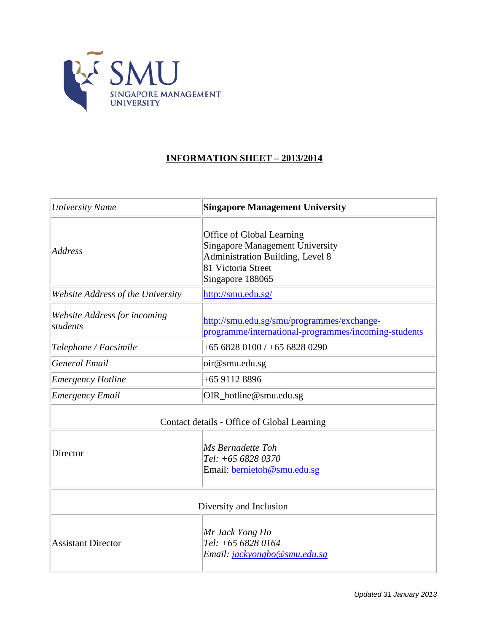

## **INFORMATION SHEET – 2013/2014**

| <b>University Name</b>                   | <b>Singapore Management University</b>                                                                                                            |
|------------------------------------------|---------------------------------------------------------------------------------------------------------------------------------------------------|
| Address                                  | Office of Global Learning<br><b>Singapore Management University</b><br>Administration Building, Level 8<br>81 Victoria Street<br>Singapore 188065 |
| Website Address of the University        | http://smu.edu.sg/                                                                                                                                |
| Website Address for incoming<br>students | http://smu.edu.sg/smu/programmes/exchange-<br>programme/international-programmes/incoming-students                                                |
| Telephone / Facsimile                    | $+6568280100$ / $+6568280290$                                                                                                                     |
| General Email                            | oir@smu.edu.sg                                                                                                                                    |
| <b>Emergency Hotline</b>                 | +65 9112 8896                                                                                                                                     |
| <b>Emergency Email</b>                   | OIR_hotline@smu.edu.sg                                                                                                                            |
|                                          | Contact details - Office of Global Learning                                                                                                       |
| Director                                 | Ms Bernadette Toh<br>Tel: +65 6828 0370<br>Email: bernietoh@smu.edu.sg                                                                            |
|                                          | Diversity and Inclusion                                                                                                                           |
| <b>Assistant Director</b>                | Mr Jack Yong Ho<br>Tel: +65 6828 0164<br>Email: jackyongho@smu.edu.sg                                                                             |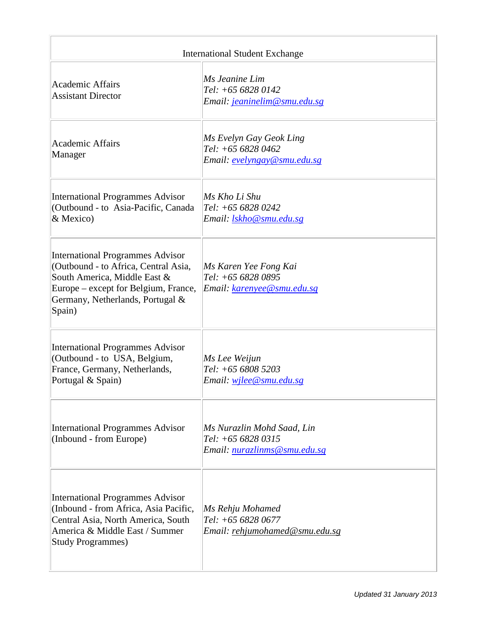| <b>International Student Exchange</b>                                                                                                                                                                 |                                                                                         |  |
|-------------------------------------------------------------------------------------------------------------------------------------------------------------------------------------------------------|-----------------------------------------------------------------------------------------|--|
| <b>Academic Affairs</b><br><b>Assistant Director</b>                                                                                                                                                  | Ms Jeanine Lim<br>Tel: +65 6828 0142<br>Email: jeaninelim@smu.edu.sg                    |  |
| <b>Academic Affairs</b><br>Manager                                                                                                                                                                    | Ms Evelyn Gay Geok Ling<br>Tel: +65 6828 0462<br>Email: evelyngay@smu.edu.sg            |  |
| <b>International Programmes Advisor</b><br>(Outbound - to Asia-Pacific, Canada)<br>& Mexico)                                                                                                          | Ms Kho Li Shu<br>$Tel: +6568280242$<br>Email: lskho@smu.edu.sg                          |  |
| <b>International Programmes Advisor</b><br>(Outbound - to Africa, Central Asia,<br>South America, Middle East &<br>Europe – except for Belgium, France,<br>Germany, Netherlands, Portugal &<br>Spain) | Ms Karen Yee Fong Kai<br>Tel: +65 6828 0895<br>Email: <u>karenyee@smu.edu.sg</u>        |  |
| <b>International Programmes Advisor</b><br>(Outbound - to USA, Belgium,<br>France, Germany, Netherlands,<br>Portugal & Spain)                                                                         | Ms Lee Weijun<br>Tel: +65 6808 5203<br>Email: wilee@smu.edu.sg                          |  |
| <b>International Programmes Advisor</b><br>(Inbound - from Europe)                                                                                                                                    | Ms Nurazlin Mohd Saad, Lin<br>Tel: +65 6828 0315<br>Email: <u>nurazlinms@smu.edu.sg</u> |  |
| <b>International Programmes Advisor</b><br>(Inbound - from Africa, Asia Pacific,<br>Central Asia, North America, South<br>America & Middle East / Summer<br><b>Study Programmes)</b>                  | Ms Rehju Mohamed<br>Tel: +65 6828 0677<br>Email: rehjumohamed@smu.edu.sg                |  |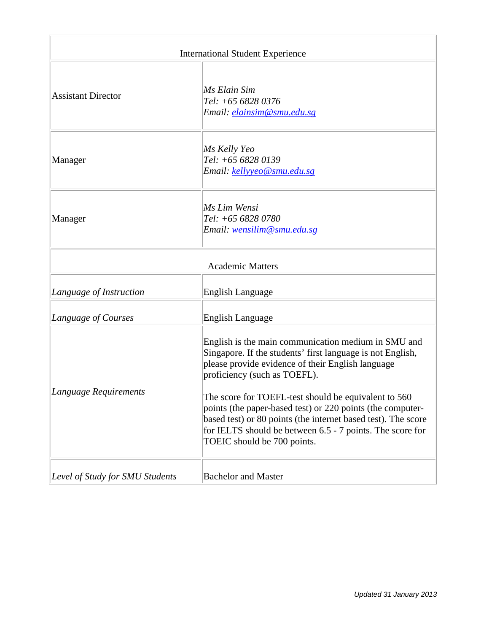| <b>International Student Experience</b> |                                                                                                                                                                                                                                                                                 |  |
|-----------------------------------------|---------------------------------------------------------------------------------------------------------------------------------------------------------------------------------------------------------------------------------------------------------------------------------|--|
| <b>Assistant Director</b>               | Ms Elain Sim<br>Tel: +65 6828 0376<br>Email: <i>elainsim@smu.edu.sg</i>                                                                                                                                                                                                         |  |
| Manager                                 | Ms Kelly Yeo<br>Tel: +65 6828 0139<br>Email: kellyyeo@smu.edu.sg                                                                                                                                                                                                                |  |
| Manager                                 | Ms Lim Wensi<br>Tel: +65 6828 0780<br>Email: wensilim@smu.edu.sg                                                                                                                                                                                                                |  |
| <b>Academic Matters</b>                 |                                                                                                                                                                                                                                                                                 |  |
| Language of Instruction                 | <b>English Language</b>                                                                                                                                                                                                                                                         |  |
| Language of Courses                     | <b>English Language</b>                                                                                                                                                                                                                                                         |  |
| Language Requirements                   | English is the main communication medium in SMU and<br>Singapore. If the students' first language is not English,<br>please provide evidence of their English language<br>proficiency (such as TOEFL).                                                                          |  |
|                                         | The score for TOEFL-test should be equivalent to 560<br>points (the paper-based test) or 220 points (the computer-<br>based test) or 80 points (the internet based test). The score<br>for IELTS should be between 6.5 - 7 points. The score for<br>TOEIC should be 700 points. |  |
| Level of Study for SMU Students         | <b>Bachelor and Master</b>                                                                                                                                                                                                                                                      |  |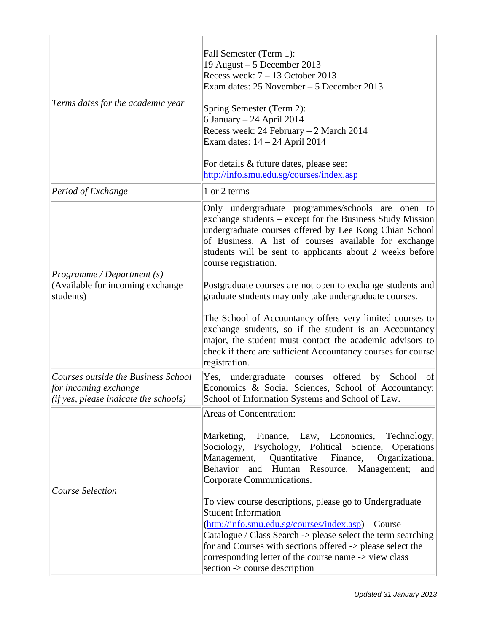| Terms dates for the academic year                                                                                 | Fall Semester (Term 1):<br>19 August - 5 December 2013<br>Recess week: $7 - 13$ October 2013<br>Exam dates: 25 November - 5 December 2013<br>Spring Semester (Term 2):<br>6 January – 24 April 2014<br>Recess week: 24 February - 2 March 2014<br>Exam dates: 14 - 24 April 2014<br>For details & future dates, please see:<br>http://info.smu.edu.sg/courses/index.asp                                                                                                                                                                                                                                                                                                                                          |
|-------------------------------------------------------------------------------------------------------------------|------------------------------------------------------------------------------------------------------------------------------------------------------------------------------------------------------------------------------------------------------------------------------------------------------------------------------------------------------------------------------------------------------------------------------------------------------------------------------------------------------------------------------------------------------------------------------------------------------------------------------------------------------------------------------------------------------------------|
| Period of Exchange                                                                                                | 1 or 2 terms                                                                                                                                                                                                                                                                                                                                                                                                                                                                                                                                                                                                                                                                                                     |
| Programme/Department(s)<br>(Available for incoming exchange<br>students)                                          | Only undergraduate programmes/schools are open to<br>exchange students – except for the Business Study Mission<br>undergraduate courses offered by Lee Kong Chian School<br>of Business. A list of courses available for exchange<br>students will be sent to applicants about 2 weeks before<br>course registration.<br>Postgraduate courses are not open to exchange students and<br>graduate students may only take undergraduate courses.<br>The School of Accountancy offers very limited courses to<br>exchange students, so if the student is an Accountancy<br>major, the student must contact the academic advisors to<br>check if there are sufficient Accountancy courses for course<br>registration. |
| Courses outside the Business School<br>for incoming exchange<br>$ $ ( <i>if</i> yes, please indicate the schools) | undergraduate courses offered by School<br>Yes,<br>of<br>Economics & Social Sciences, School of Accountancy;<br>School of Information Systems and School of Law.                                                                                                                                                                                                                                                                                                                                                                                                                                                                                                                                                 |
|                                                                                                                   | Areas of Concentration:                                                                                                                                                                                                                                                                                                                                                                                                                                                                                                                                                                                                                                                                                          |
| Course Selection                                                                                                  | Marketing, Finance, Law, Economics,<br>Technology,<br>Sociology, Psychology, Political Science, Operations<br>Management, Quantitative<br>Finance,<br>Organizational<br>Behavior and Human Resource, Management;<br>and<br>Corporate Communications.<br>To view course descriptions, please go to Undergraduate<br><b>Student Information</b><br>(http://info.smu.edu.sg/courses/index.asp) – Course<br>Catalogue / Class Search -> please select the term searching<br>for and Courses with sections offered -> please select the<br>corresponding letter of the course name -> view class<br>section -> course description                                                                                     |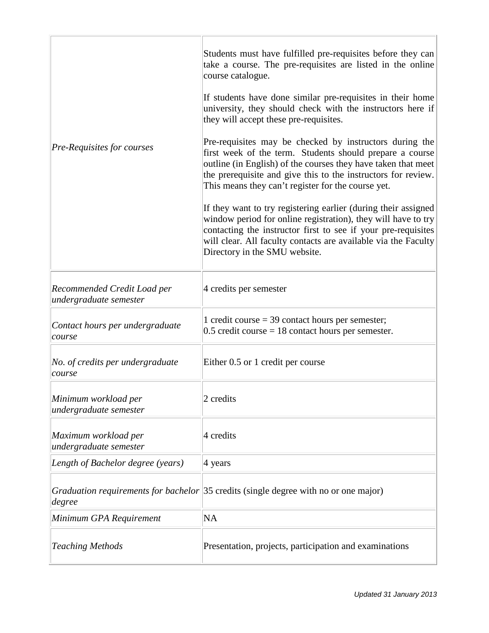| Pre-Requisites for courses                            | Students must have fulfilled pre-requisites before they can<br>take a course. The pre-requisites are listed in the online<br>course catalogue.<br>If students have done similar pre-requisites in their home<br>university, they should check with the instructors here if<br>they will accept these pre-requisites.<br>Pre-requisites may be checked by instructors during the<br>first week of the term. Students should prepare a course<br>outline (in English) of the courses they have taken that meet<br>the prerequisite and give this to the instructors for review.<br>This means they can't register for the course yet.<br>If they want to try registering earlier (during their assigned<br>window period for online registration), they will have to try<br>contacting the instructor first to see if your pre-requisites<br>will clear. All faculty contacts are available via the Faculty<br>Directory in the SMU website. |
|-------------------------------------------------------|--------------------------------------------------------------------------------------------------------------------------------------------------------------------------------------------------------------------------------------------------------------------------------------------------------------------------------------------------------------------------------------------------------------------------------------------------------------------------------------------------------------------------------------------------------------------------------------------------------------------------------------------------------------------------------------------------------------------------------------------------------------------------------------------------------------------------------------------------------------------------------------------------------------------------------------------|
| Recommended Credit Load per<br>undergraduate semester | 4 credits per semester                                                                                                                                                                                                                                                                                                                                                                                                                                                                                                                                                                                                                                                                                                                                                                                                                                                                                                                     |
| Contact hours per undergraduate<br>course             | 1 credit course $=$ 39 contact hours per semester;<br>$0.5$ credit course = 18 contact hours per semester.                                                                                                                                                                                                                                                                                                                                                                                                                                                                                                                                                                                                                                                                                                                                                                                                                                 |
| No. of credits per undergraduate<br>course            | Either 0.5 or 1 credit per course                                                                                                                                                                                                                                                                                                                                                                                                                                                                                                                                                                                                                                                                                                                                                                                                                                                                                                          |
| Minimum workload per<br>undergraduate semester        | 2 credits                                                                                                                                                                                                                                                                                                                                                                                                                                                                                                                                                                                                                                                                                                                                                                                                                                                                                                                                  |
| Maximum workload per<br>undergraduate semester        | 4 credits                                                                                                                                                                                                                                                                                                                                                                                                                                                                                                                                                                                                                                                                                                                                                                                                                                                                                                                                  |
| Length of Bachelor degree (years)                     | 4 years                                                                                                                                                                                                                                                                                                                                                                                                                                                                                                                                                                                                                                                                                                                                                                                                                                                                                                                                    |
| degree                                                | Graduation requirements for bachelor 35 credits (single degree with no or one major)                                                                                                                                                                                                                                                                                                                                                                                                                                                                                                                                                                                                                                                                                                                                                                                                                                                       |
| Minimum GPA Requirement                               | <b>NA</b>                                                                                                                                                                                                                                                                                                                                                                                                                                                                                                                                                                                                                                                                                                                                                                                                                                                                                                                                  |
| <b>Teaching Methods</b>                               | Presentation, projects, participation and examinations                                                                                                                                                                                                                                                                                                                                                                                                                                                                                                                                                                                                                                                                                                                                                                                                                                                                                     |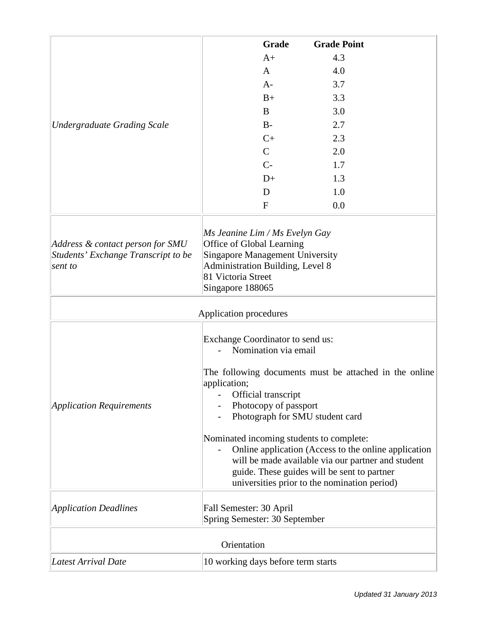|                                                                                    | Grade<br><b>Grade Point</b>                                                                                                                                                                                                                                                                                                                                                                                                                                                    |
|------------------------------------------------------------------------------------|--------------------------------------------------------------------------------------------------------------------------------------------------------------------------------------------------------------------------------------------------------------------------------------------------------------------------------------------------------------------------------------------------------------------------------------------------------------------------------|
|                                                                                    | 4.3<br>$A+$                                                                                                                                                                                                                                                                                                                                                                                                                                                                    |
|                                                                                    | 4.0<br>A                                                                                                                                                                                                                                                                                                                                                                                                                                                                       |
|                                                                                    | 3.7<br>$A-$                                                                                                                                                                                                                                                                                                                                                                                                                                                                    |
|                                                                                    | 3.3<br>$B+$                                                                                                                                                                                                                                                                                                                                                                                                                                                                    |
|                                                                                    | B<br>3.0                                                                                                                                                                                                                                                                                                                                                                                                                                                                       |
| <b>Undergraduate Grading Scale</b>                                                 | 2.7<br>$B-$                                                                                                                                                                                                                                                                                                                                                                                                                                                                    |
|                                                                                    | $C+$<br>2.3                                                                                                                                                                                                                                                                                                                                                                                                                                                                    |
|                                                                                    | $\mathcal{C}$<br>2.0                                                                                                                                                                                                                                                                                                                                                                                                                                                           |
|                                                                                    | $C-$<br>1.7                                                                                                                                                                                                                                                                                                                                                                                                                                                                    |
|                                                                                    | $D+$<br>1.3                                                                                                                                                                                                                                                                                                                                                                                                                                                                    |
|                                                                                    | 1.0<br>D                                                                                                                                                                                                                                                                                                                                                                                                                                                                       |
|                                                                                    | $\mathbf{F}$<br>0.0                                                                                                                                                                                                                                                                                                                                                                                                                                                            |
| Address & contact person for SMU<br>Students' Exchange Transcript to be<br>sent to | Ms Jeanine Lim / Ms Evelyn Gay<br>Office of Global Learning<br><b>Singapore Management University</b><br>Administration Building, Level 8<br>81 Victoria Street<br>Singapore 188065                                                                                                                                                                                                                                                                                            |
|                                                                                    | Application procedures                                                                                                                                                                                                                                                                                                                                                                                                                                                         |
| <b>Application Requirements</b>                                                    | Exchange Coordinator to send us:<br>Nomination via email<br>The following documents must be attached in the online<br>application;<br>Official transcript<br>Photocopy of passport<br>Photograph for SMU student card<br>Nominated incoming students to complete:<br>Online application (Access to the online application<br>will be made available via our partner and student<br>guide. These guides will be sent to partner<br>universities prior to the nomination period) |
| <b>Application Deadlines</b>                                                       | Fall Semester: 30 April<br>Spring Semester: 30 September                                                                                                                                                                                                                                                                                                                                                                                                                       |
| Orientation                                                                        |                                                                                                                                                                                                                                                                                                                                                                                                                                                                                |
| Latest Arrival Date                                                                | 10 working days before term starts                                                                                                                                                                                                                                                                                                                                                                                                                                             |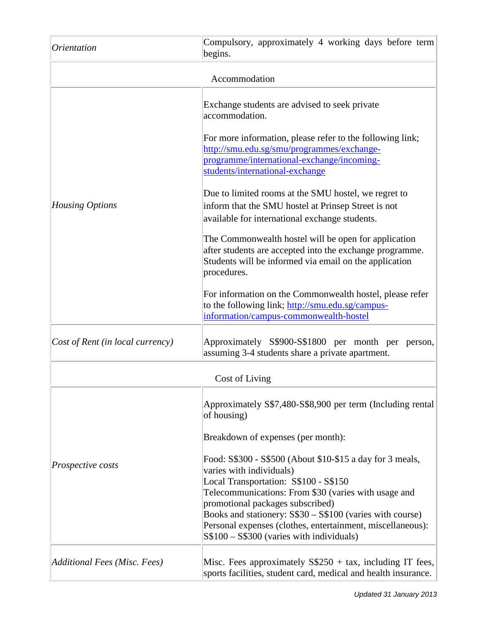| <i><u><b>Orientation</b></u></i> | Compulsory, approximately 4 working days before term<br>begins.                                                                                                                                          |
|----------------------------------|----------------------------------------------------------------------------------------------------------------------------------------------------------------------------------------------------------|
| Accommodation                    |                                                                                                                                                                                                          |
|                                  | Exchange students are advised to seek private<br>accommodation.                                                                                                                                          |
|                                  | For more information, please refer to the following link;<br>http://smu.edu.sg/smu/programmes/exchange-<br>programme/international-exchange/incoming-<br>students/international-exchange                 |
| Housing Options                  | Due to limited rooms at the SMU hostel, we regret to<br>inform that the SMU hostel at Prinsep Street is not<br>available for international exchange students.                                            |
|                                  | The Commonwealth hostel will be open for application<br>after students are accepted into the exchange programme.<br>Students will be informed via email on the application<br>procedures.                |
|                                  | For information on the Commonwealth hostel, please refer<br>to the following link; http://smu.edu.sg/campus-<br>information/campus-commonwealth-hostel                                                   |
| Cost of Rent (in local currency) | Approximately S\$900-S\$1800 per month per person,<br>assuming 3-4 students share a private apartment.                                                                                                   |
|                                  | Cost of Living                                                                                                                                                                                           |
| <i>Prospective costs</i>         | Approximately S\$7,480-S\$8,900 per term (Including rental)<br>of housing)                                                                                                                               |
|                                  | Breakdown of expenses (per month):                                                                                                                                                                       |
|                                  | Food: S\$300 - S\$500 (About \$10-\$15 a day for 3 meals,<br>varies with individuals)<br>Local Transportation: S\$100 - S\$150<br>Telecommunications: From \$30 (varies with usage and                   |
|                                  | promotional packages subscribed)<br>Books and stationery: S\$30 – S\$100 (varies with course)<br>Personal expenses (clothes, entertainment, miscellaneous):<br>$S$100 - S$300 (varies with individuals)$ |
| Additional Fees (Misc. Fees)     | Misc. Fees approximately $S$250 + tax$ , including IT fees,<br>sports facilities, student card, medical and health insurance.                                                                            |